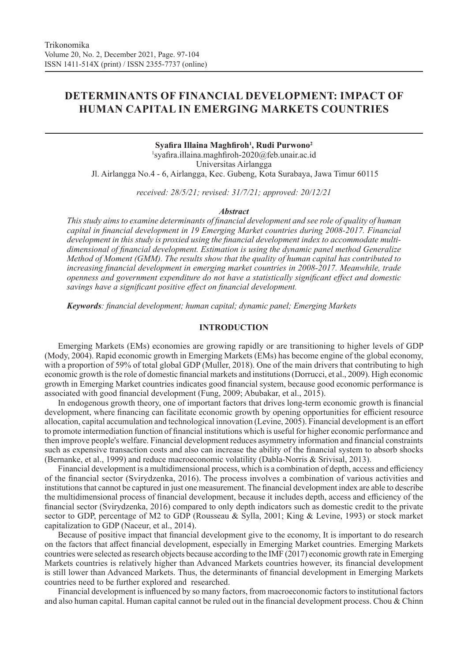# **DETERMINANTS OF FINANCIAL DEVELOPMENT: IMPACT OF HUMAN CAPITAL IN EMERGING MARKETS COUNTRIES**

## **Syafira Illaina Maghfiroh<sup>1</sup> , Rudi Purwono<sup>2</sup>** 1 syafira.illaina.maghfiroh-2020@feb.unair.ac.id Universitas Airlangga Jl. Airlangga No.4 - 6, Airlangga, Kec. Gubeng, Kota Surabaya, Jawa Timur 60115

*received: 28/5/21; revised: 31/7/21; approved: 20/12/21*

#### *Abstract*

*This study aims to examine determinants of financial development and see role of quality of human capital in financial development in 19 Emerging Market countries during 2008-2017. Financial development in this study is proxied using the financial development index to accommodate multidimensional of financial development. Estimation is using the dynamic panel method Generalize Method of Moment (GMM). The results show that the quality of human capital has contributed to increasing financial development in emerging market countries in 2008-2017. Meanwhile, trade openness and government expenditure do not have a statistically significant effect and domestic savings have a significant positive effect on financial development.* 

*Keywords: financial development; human capital; dynamic panel; Emerging Markets*

### **INTRODUCTION**

Emerging Markets (EMs) economies are growing rapidly or are transitioning to higher levels of GDP (Mody, 2004). Rapid economic growth in Emerging Markets (EMs) has become engine of the global economy, with a proportion of 59% of total global GDP (Muller, 2018). One of the main drivers that contributing to high economic growth is the role of domestic financial markets and institutions (Dorrucci, et al., 2009). High economic growth in Emerging Market countries indicates good financial system, because good economic performance is associated with good financial development (Fung, 2009; Abubakar, et al., 2015).

In endogenous growth theory, one of important factors that drives long-term economic growth is financial development, where financing can facilitate economic growth by opening opportunities for efficient resource allocation, capital accumulation and technological innovation (Levine, 2005). Financial development is an effort to promote intermediation function of financial institutions which is useful for higher economic performance and then improve people's welfare. Financial development reduces asymmetry information and financial constraints such as expensive transaction costs and also can increase the ability of the financial system to absorb shocks (Bernanke, et al., 1999) and reduce macroeconomic volatility (Dabla-Norris & Srivisal, 2013).

Financial development is a multidimensional process, which is a combination of depth, access and efficiency of the financial sector (Svirydzenka, 2016). The process involves a combination of various activities and institutions that cannot be captured in just one measurement. The financial development index are able to describe the multidimensional process of financial development, because it includes depth, access and efficiency of the financial sector (Svirydzenka, 2016) compared to only depth indicators such as domestic credit to the private sector to GDP, percentage of M2 to GDP (Rousseau & Sylla, 2001; King & Levine, 1993) or stock market capitalization to GDP (Naceur, et al., 2014).

Because of positive impact that financial development give to the economy, It is important to do research on the factors that affect financial development, especially in Emerging Market countries. Emerging Markets countries were selected as research objects because according to the IMF (2017) economic growth rate in Emerging Markets countries is relatively higher than Advanced Markets countries however, its financial development is still lower than Advanced Markets. Thus, the determinants of financial development in Emerging Markets countries need to be further explored and researched.

Financial development is influenced by so many factors, from macroeconomic factors to institutional factors and also human capital. Human capital cannot be ruled out in the financial development process. Chou & Chinn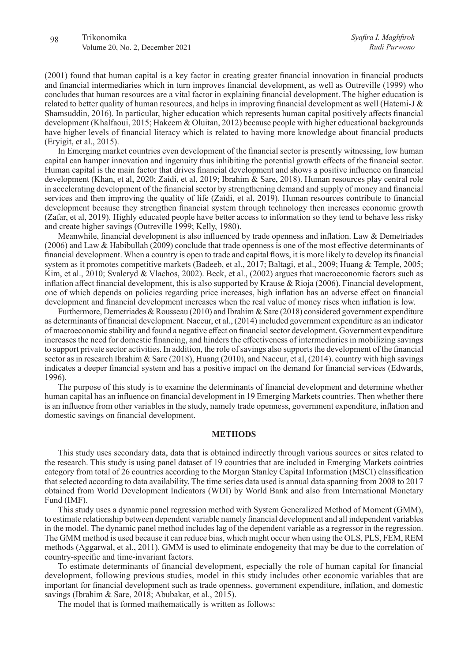(2001) found that human capital is a key factor in creating greater financial innovation in financial products and financial intermediaries which in turn improves financial development, as well as Outreville (1999) who concludes that human resources are a vital factor in explaining financial development. The higher education is related to better quality of human resources, and helps in improving financial development as well (Hatemi-J & Shamsuddin, 2016). In particular, higher education which represents human capital positively affects financial development (Khalfaoui, 2015; Hakeem & Oluitan, 2012) because people with higher educational backgrounds have higher levels of financial literacy which is related to having more knowledge about financial products (Eryigit, et al., 2015).

In Emerging market countries even development of the financial sector is presently witnessing, low human capital can hamper innovation and ingenuity thus inhibiting the potential growth effects of the financial sector. Human capital is the main factor that drives financial development and shows a positive influence on financial development (Khan, et al, 2020; Zaidi, et al, 2019; Ibrahim & Sare, 2018). Human resources play central role in accelerating development of the financial sector by strengthening demand and supply of money and financial services and then improving the quality of life (Zaidi, et al, 2019). Human resources contribute to financial development because they strengthen financial system through technology then increases economic growth (Zafar, et al, 2019). Highly educated people have better access to information so they tend to behave less risky and create higher savings (Outreville 1999; Kelly, 1980).

Meanwhile, financial development is also influenced by trade openness and inflation. Law & Demetriades (2006) and Law & Habibullah (2009) conclude that trade openness is one of the most effective determinants of financial development. When a country is open to trade and capital flows, it is more likely to develop its financial system as it promotes competitive markets (Badeeb, et al., 2017; Baltagi, et al., 2009; Huang & Temple, 2005; Kim, et al., 2010; Svaleryd & Vlachos, 2002). Beck, et al., (2002) argues that macroeconomic factors such as inflation affect financial development, this is also supported by Krause & Rioja (2006). Financial development, one of which depends on policies regarding price increases, high inflation has an adverse effect on financial development and financial development increases when the real value of money rises when inflation is low.

Furthermore, Demetriades & Rousseau (2010) and Ibrahim & Sare (2018) considered government expenditure as determinants of financial development. Naceur, et al., (2014) included government expenditure as an indicator of macroeconomic stability and found a negative effect on financial sector development. Government expenditure increases the need for domestic financing, and hinders the effectiveness of intermediaries in mobilizing savings to support private sector activities. In addition, the role of savings also supports the development of the financial sector as in research Ibrahim & Sare (2018), Huang (2010), and Naceur, et al, (2014). country with high savings indicates a deeper financial system and has a positive impact on the demand for financial services (Edwards, 1996).

The purpose of this study is to examine the determinants of financial development and determine whether human capital has an influence on financial development in 19 Emerging Markets countries. Then whether there is an influence from other variables in the study, namely trade openness, government expenditure, inflation and domestic savings on financial development.

#### **METHODS**

This study uses secondary data, data that is obtained indirectly through various sources or sites related to the research. This study is using panel dataset of 19 countries that are included in Emerging Markets cointries category from total of 26 countries according to the Morgan Stanley Capital Information (MSCI) classification that selected according to data availability. The time series data used is annual data spanning from 2008 to 2017 obtained from World Development Indicators (WDI) by World Bank and also from International Monetary Fund (IMF).

This study uses a dynamic panel regression method with System Generalized Method of Moment (GMM), to estimate relationship between dependent variable namely financial development and all independent variables in the model. The dynamic panel method includes lag of the dependent variable as a regressor in the regression. The GMM method is used because it can reduce bias, which might occur when using the OLS, PLS, FEM, REM methods (Aggarwal, et al., 2011). GMM is used to eliminate endogeneity that may be due to the correlation of country-specific and time-invariant factors.

To estimate determinants of financial development, especially the role of human capital for financial development, following previous studies, model in this study includes other economic variables that are important for financial development such as trade openness, government expenditure, inflation, and domestic savings (Ibrahim & Sare, 2018; Abubakar, et al., 2015).

The model that is formed mathematically is written as follows: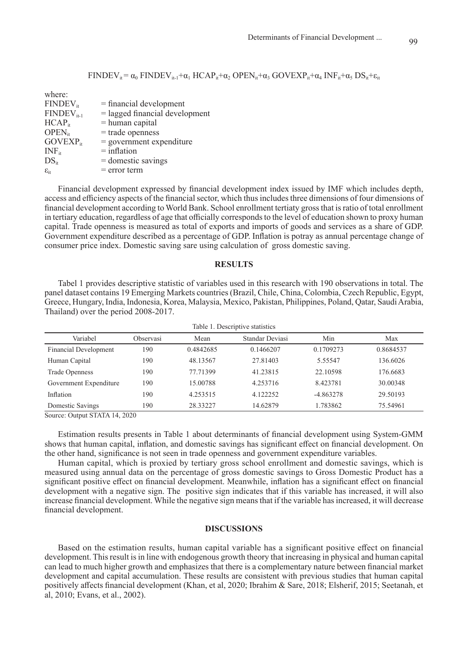$FINDEV_{it} = \alpha_0 FINDEV_{it-1} + \alpha_1 HCAP_{it} + \alpha_2 OPEN_{it} + \alpha_3 GOVEXP_{it} + \alpha_4 INF_{it} + \alpha_5 DS_{it} + \epsilon_{it}$ 

| $=$ financial development        |
|----------------------------------|
| $=$ lagged financial development |
| $=$ human capital                |
| $=$ trade openness               |
| $=$ government expenditure       |
| $=$ inflation                    |
| $=$ domestic savings             |
| $=$ error term                   |
|                                  |

Financial development expressed by financial development index issued by IMF which includes depth, access and efficiency aspects of the financial sector, which thus includes three dimensions of four dimensions of financial development according to World Bank. School enrollment tertiaty gross that is ratio of total enrollment in tertiary education, regardless of age that officially corresponds to the level of education shown to proxy human capital. Trade openness is measured as total of exports and imports of goods and services as a share of GDP. Government expenditure described as a percentage of GDP. Inflation is potray as annual percentage change of consumer price index. Domestic saving sare using calculation of gross domestic saving.

## **RESULTS**

Tabel 1 provides descriptive statistic of variables used in this research with 190 observations in total. The panel dataset contains 19 Emerging Markets countries (Brazil, Chile, China, Colombia, Czech Republic, Egypt, Greece, Hungary, India, Indonesia, Korea, Malaysia, Mexico, Pakistan, Philippines, Poland, Qatar, Saudi Arabia, Thailand) over the period 2008-2017.

| Table 1. Descriptive statistics |           |           |                 |             |           |  |
|---------------------------------|-----------|-----------|-----------------|-------------|-----------|--|
| Variabel                        | Observasi | Mean      | Standar Deviasi | Min         | Max       |  |
| <b>Financial Development</b>    | 190       | 0.4842685 | 0.1466207       | 0.1709273   | 0.8684537 |  |
| Human Capital                   | 190       | 48.13567  | 27.81403        | 5.55547     | 136.6026  |  |
| <b>Trade Openness</b>           | 190       | 77.71399  | 41.23815        | 22.10598    | 176.6683  |  |
| Government Expenditure          | 190       | 15.00788  | 4.253716        | 8.423781    | 30.00348  |  |
| Inflation                       | 190       | 4.253515  | 4.122252        | $-4.863278$ | 29.50193  |  |
| Domestic Savings                | 190       | 28.33227  | 14.62879        | 1.783862    | 75.54961  |  |

Source: Output STATA 14, 2020

Estimation results presents in Table 1 about determinants of financial development using System-GMM shows that human capital, inflation, and domestic savings has significant effect on financial development. On the other hand, significance is not seen in trade openness and government expenditure variables.

Human capital, which is proxied by tertiary gross school enrollment and domestic savings, which is measured using annual data on the percentage of gross domestic savings to Gross Domestic Product has a significant positive effect on financial development. Meanwhile, inflation has a significant effect on financial development with a negative sign. The positive sign indicates that if this variable has increased, it will also increase financial development. While the negative sign means that if the variable has increased, it will decrease financial development.

## **DISCUSSIONS**

Based on the estimation results, human capital variable has a significant positive effect on financial development. This result is in line with endogenous growth theory that increasing in physical and human capital can lead to much higher growth and emphasizes that there is a complementary nature between financial market development and capital accumulation. These results are consistent with previous studies that human capital positively affects financial development (Khan, et al, 2020; Ibrahim & Sare, 2018; Elsherif, 2015; Seetanah, et al, 2010; Evans, et al., 2002).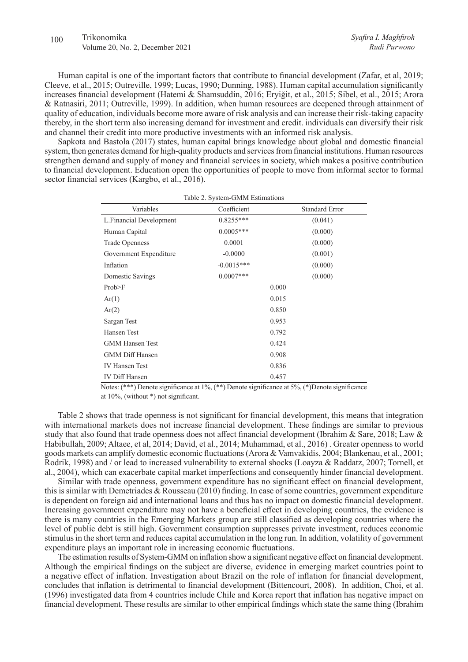#### 100 Trikonomika Volume 20, No. 2, December 2021

Human capital is one of the important factors that contribute to financial development (Zafar, et al, 2019; Cleeve, et al., 2015; Outreville, 1999; Lucas, 1990; Dunning, 1988). Human capital accumulation significantly increases financial development (Hatemi & Shamsuddin, 2016; Eryiğit, et al., 2015; Sibel, et al., 2015; Arora & Ratnasiri, 2011; Outreville, 1999). In addition, when human resources are deepened through attainment of quality of education, individuals become more aware of risk analysis and can increase their risk-taking capacity thereby, in the short term also increasing demand for investment and credit. individuals can diversify their risk and channel their credit into more productive investments with an informed risk analysis.

Sapkota and Bastola (2017) states, human capital brings knowledge about global and domestic financial system, then generates demand for high-quality products and services from financial institutions. Human resources strengthen demand and supply of money and financial services in society, which makes a positive contribution to financial development. Education open the opportunities of people to move from informal sector to formal sector financial services (Kargbo, et al., 2016).

|                         | 10010 = 0,000111 01,11,1 moviment che |                       |
|-------------------------|---------------------------------------|-----------------------|
| Variables               | Coefficient                           | <b>Standard Error</b> |
| L.Financial Development | $0.8255***$                           | (0.041)               |
| Human Capital           | $0.0005***$                           | (0.000)               |
| <b>Trade Openness</b>   | 0.0001                                | (0.000)               |
| Government Expenditure  | $-0.0000$                             | (0.001)               |
| Inflation               | $-0.0015***$                          | (0.000)               |
| Domestic Savings        | $0.0007***$                           | (0.000)               |
| Prob>F                  |                                       | 0.000                 |
| Ar(1)                   |                                       | 0.015                 |
| Ar(2)                   |                                       | 0.850                 |
| Sargan Test             |                                       | 0.953                 |
| Hansen Test             |                                       | 0.792                 |
| <b>GMM Hansen Test</b>  |                                       | 0.424                 |
| <b>GMM Diff Hansen</b>  |                                       | 0.908                 |
| <b>IV Hansen Test</b>   |                                       | 0.836                 |
| <b>IV Diff Hansen</b>   |                                       | 0.457                 |

Table 2. System-GMM Estimations

Notes: (\*\*\*) Denote significance at 1%, (\*\*) Denote significance at 5%, (\*)Denote significance at 10%, (without \*) not significant.

Table 2 shows that trade openness is not significant for financial development, this means that integration with international markets does not increase financial development. These findings are similar to previous study that also found that trade openness does not affect financial development (Ibrahim & Sare, 2018; Law & Habibullah, 2009; Altaee, et al, 2014; David, et al., 2014; Muhammad, et al., 2016) . Greater openness to world goods markets can amplify domestic economic fluctuations (Arora & Vamvakidis, 2004; Blankenau, et al., 2001; Rodrik, 1998) and / or lead to increased vulnerability to external shocks (Loayza & Raddatz, 2007; Tornell, et al., 2004), which can exacerbate capital market imperfections and consequently hinder financial development.

Similar with trade openness, government expenditure has no significant effect on financial development, this is similar with Demetriades & Rousseau (2010) finding. In case of some countries, government expenditure is dependent on foreign aid and international loans and thus has no impact on domestic financial development. Increasing government expenditure may not have a beneficial effect in developing countries, the evidence is there is many countries in the Emerging Markets group are still classified as developing countries where the level of public debt is still high. Government consumption suppresses private investment, reduces economic stimulus in the short term and reduces capital accumulation in the long run. In addition, volatility of government expenditure plays an important role in increasing economic fluctuations.

The estimation results of System-GMM on inflation show a significant negative effect on financial development. Although the empirical findings on the subject are diverse, evidence in emerging market countries point to a negative effect of inflation. Investigation about Brazil on the role of inflation for financial development, concludes that inflation is detrimental to financial development (Bittencourt, 2008). In addition, Choi, et al. (1996) investigated data from 4 countries include Chile and Korea report that inflation has negative impact on financial development. These results are similar to other empirical findings which state the same thing (Ibrahim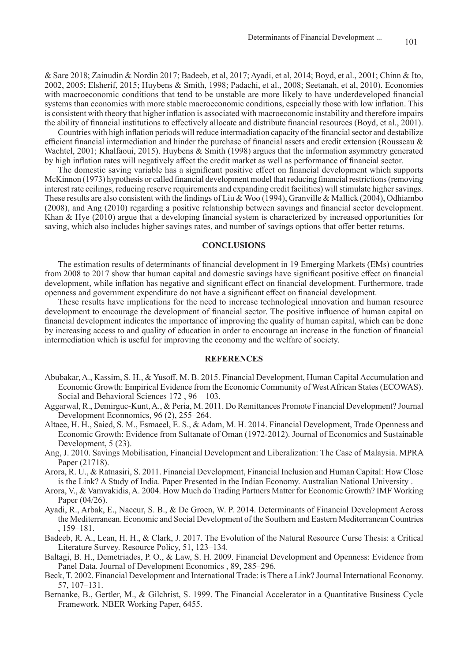& Sare 2018; Zainudin & Nordin 2017; Badeeb, et al, 2017; Ayadi, et al, 2014; Boyd, et al., 2001; Chinn & Ito, 2002, 2005; Elsherif, 2015; Huybens & Smith, 1998; Padachi, et al., 2008; Seetanah, et al, 2010). Economies with macroeconomic conditions that tend to be unstable are more likely to have underdeveloped financial systems than economies with more stable macroeconomic conditions, especially those with low inflation. This is consistent with theory that higher inflation is associated with macroeconomic instability and therefore impairs the ability of financial institutions to effectively allocate and distribute financial resources (Boyd, et al., 2001).

Countries with high inflation periods will reduce intermadiation capacity of the financial sector and destabilize efficient financial intermediation and hinder the purchase of financial assets and credit extension (Rousseau & Wachtel, 2001; Khalfaoui, 2015). Huybens & Smith (1998) argues that the information asymmetry generated by high inflation rates will negatively affect the credit market as well as performance of financial sector.

The domestic saving variable has a significant positive effect on financial development which supports McKinnon (1973) hypothesis or called financial development model that reducing financial restrictions (removing interest rate ceilings, reducing reserve requirements and expanding credit facilities) will stimulate higher savings. These results are also consistent with the findings of Liu & Woo (1994), Granville & Mallick (2004), Odhiambo (2008), and Ang (2010) regarding a positive relationship between savings and financial sector development. Khan & Hye (2010) argue that a developing financial system is characterized by increased opportunities for saving, which also includes higher savings rates, and number of savings options that offer better returns.

### **CONCLUSIONS**

The estimation results of determinants of financial development in 19 Emerging Markets (EMs) countries from 2008 to 2017 show that human capital and domestic savings have significant positive effect on financial development, while inflation has negative and significant effect on financial development. Furthermore, trade openness and government expenditure do not have a significant effect on financial development.

These results have implications for the need to increase technological innovation and human resource development to encourage the development of financial sector. The positive influence of human capital on financial development indicates the importance of improving the quality of human capital, which can be done by increasing access to and quality of education in order to encourage an increase in the function of financial intermediation which is useful for improving the economy and the welfare of society.

#### **REFERENCES**

- Abubakar, A., Kassim, S. H., & Yusoff, M. B. 2015. Financial Development, Human Capital Accumulation and Economic Growth: Empirical Evidence from the Economic Community of West African States (ECOWAS). Social and Behavioral Sciences 172 , 96 – 103.
- Aggarwal, R., Demirguc-Kunt, A., & Peria, M. 2011. Do Remittances Promote Financial Development? Journal Development Econnomics, 96 (2), 255–264.
- Altaee, H. H., Saied, S. M., Esmaeel, E. S., & Adam, M. H. 2014. Financial Development, Trade Openness and Economic Growth: Evidence from Sultanate of Oman (1972-2012). Journal of Economics and Sustainable Development, 5 (23).
- Ang, J. 2010. Savings Mobilisation, Financial Development and Liberalization: The Case of Malaysia. MPRA Paper (21718).
- Arora, R. U., & Ratnasiri, S. 2011. Financial Development, Financial Inclusion and Human Capital: How Close is the Link? A Study of India. Paper Presented in the Indian Economy. Australian National University .
- Arora, V., & Vamvakidis, A. 2004. How Much do Trading Partners Matter for Economic Growth? IMF Working Paper (04/26).
- Ayadi, R., Arbak, E., Naceur, S. B., & De Groen, W. P. 2014. Determinants of Financial Development Across the Mediterranean. Economic and Social Development of the Southern and Eastern Mediterranean Countries , 159–181.
- Badeeb, R. A., Lean, H. H., & Clark, J. 2017. The Evolution of the Natural Resource Curse Thesis: a Critical Literature Survey. Resource Policy, 51, 123–134.
- Baltagi, B. H., Demetriades, P. O., & Law, S. H. 2009. Financial Development and Openness: Evidence from Panel Data. Journal of Development Economics , 89, 285–296.
- Beck, T. 2002. Financial Development and International Trade: is There a Link? Journal International Economy. 57, 107–131.
- Bernanke, B., Gertler, M., & Gilchrist, S. 1999. The Financial Accelerator in a Quantitative Business Cycle Framework. NBER Working Paper, 6455.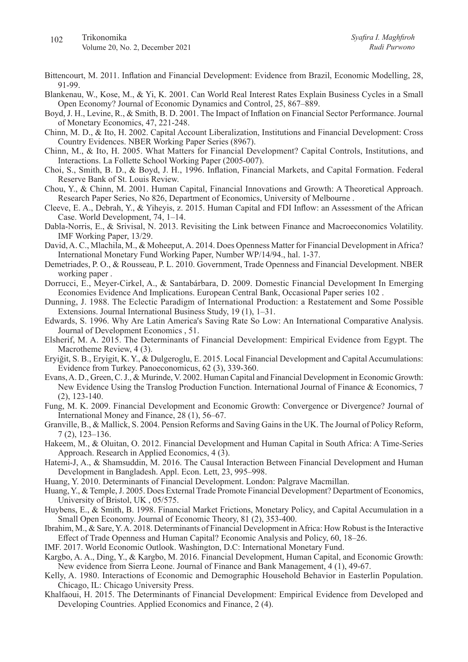- Bittencourt, M. 2011. Inflation and Financial Development: Evidence from Brazil, Economic Modelling, 28, 91-99.
- Blankenau, W., Kose, M., & Yi, K. 2001. Can World Real Interest Rates Explain Business Cycles in a Small Open Economy? Journal of Economic Dynamics and Control, 25, 867–889.
- Boyd, J. H., Levine, R., & Smith, B. D. 2001. The Impact of Inflation on Financial Sector Performance. Journal of Monetary Economics, 47, 221-248.
- Chinn, M. D., & Ito, H. 2002. Capital Account Liberalization, Institutions and Financial Development: Cross Country Evidences. NBER Working Paper Series (8967).
- Chinn, M., & Ito, H. 2005. What Matters for Financial Development? Capital Controls, Institutions, and Interactions. La Follette School Working Paper (2005-007).
- Choi, S., Smith, B. D., & Boyd, J. H., 1996. Inflation, Financial Markets, and Capital Formation. Federal Reserve Bank of St. Louis Review.
- Chou, Y., & Chinn, M. 2001. Human Capital, Financial Innovations and Growth: A Theoretical Approach. Research Paper Series, No 826, Department of Economics, University of Melbourne .
- Cleeve, E. A., Debrah, Y., & Yiheyis, z. 2015. Human Capital and FDI Inflow: an Assessment of the African Case. World Development, 74, 1–14.
- Dabla-Norris, E., & Srivisal, N. 2013. Revisiting the Link between Finance and Macroeconomics Volatility. IMF Working Paper, 13/29.
- David, A. C., Mlachila, M., & Moheeput, A. 2014. Does Openness Matter for Financial Development in Africa? International Monetary Fund Working Paper, Number WP/14/94., hal. 1-37.
- Demetriades, P. O., & Rousseau, P. L. 2010. Government, Trade Openness and Financial Development. NBER working paper .
- Dorrucci, E., Meyer-Cirkel, A., & Santabárbara, D. 2009. Domestic Financial Development In Emerging Economies Evidence And Implications. European Central Bank, Occasional Paper series 102 .
- Dunning, J. 1988. The Eclectic Paradigm of International Production: a Restatement and Some Possible Extensions. Journal International Business Study, 19 (1), 1–31.
- Edwards, S. 1996. Why Are Latin America's Saving Rate So Low: An International Comparative Analysis. Journal of Development Economics , 51.
- Elsherif, M. A. 2015. The Determinants of Financial Development: Empirical Evidence from Egypt. The Macrotheme Review, 4 (3).
- Eryiğit, S. B., Eryigit, K. Y., & Dulgeroglu, E. 2015. Local Financial Development and Capital Accumulations: Evidence from Turkey. Panoeconomicus, 62 (3), 339-360.
- Evans, A. D., Green, C. J., & Murinde, V. 2002. Human Capital and Financial Development in Economic Growth: New Evidence Using the Translog Production Function. International Journal of Finance & Economics, 7 (2), 123-140.
- Fung, M. K. 2009. Financial Development and Economic Growth: Convergence or Divergence? Journal of International Money and Finance, 28 (1), 56–67.
- Granville, B., & Mallick, S. 2004. Pension Reforms and Saving Gains in the UK. The Journal of Policy Reform, 7 (2), 123–136.
- Hakeem, M., & Oluitan, O. 2012. Financial Development and Human Capital in South Africa: A Time-Series Approach. Research in Applied Economics, 4 (3).
- Hatemi-J, A., & Shamsuddin, M. 2016. The Causal Interaction Between Financial Development and Human Development in Bangladesh. Appl. Econ. Lett, 23, 995–998.
- Huang, Y. 2010. Determinants of Financial Development. London: Palgrave Macmillan.
- Huang, Y., & Temple, J. 2005. Does External Trade Promote Financial Development? Department of Economics, University of Bristol, UK , 05/575.
- Huybens, E., & Smith, B. 1998. Financial Market Frictions, Monetary Policy, and Capital Accumulation in a Small Open Economy. Journal of Economic Theory, 81 (2), 353-400.
- Ibrahim, M., & Sare, Y. A. 2018. Determinants of Financial Development in Africa: How Robust is the Interactive Effect of Trade Openness and Human Capital? Economic Analysis and Policy, 60, 18–26.
- IMF. 2017. World Economic Outlook. Washington, D.C: International Monetary Fund.
- Kargbo, A. A., Ding, Y., & Kargbo, M. 2016. Financial Development, Human Capital, and Economic Growth: New evidence from Sierra Leone. Journal of Finance and Bank Management, 4 (1), 49-67.
- Kelly, A. 1980. Interactions of Economic and Demographic Household Behavior in Easterlin Population. Chicago, IL: Chicago University Press.
- Khalfaoui, H. 2015. The Determinants of Financial Development: Empirical Evidence from Developed and Developing Countries. Applied Economics and Finance, 2 (4).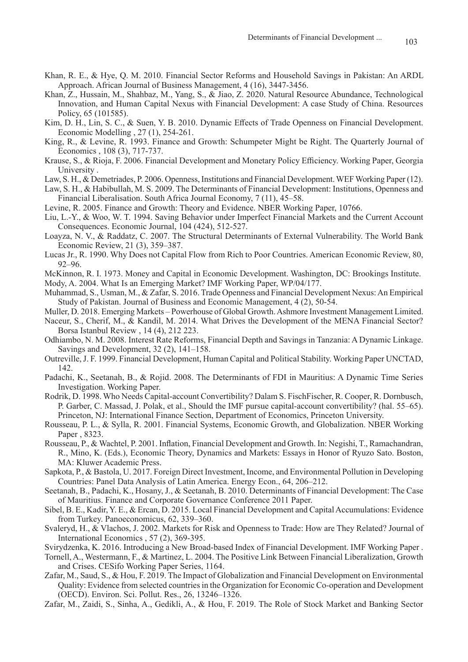- Khan, R. E., & Hye, Q. M. 2010. Financial Sector Reforms and Household Savings in Pakistan: An ARDL Approach. African Journal of Business Management, 4 (16), 3447-3456.
- Khan, Z., Hussain, M., Shahbaz, M., Yang, S., & Jiao, Z. 2020. Natural Resource Abundance, Technological Innovation, and Human Capital Nexus with Financial Development: A case Study of China. Resources Policy, 65 (101585).
- Kim, D. H., Lin, S. C., & Suen, Y. B. 2010. Dynamic Effects of Trade Openness on Financial Development. Economic Modelling , 27 (1), 254-261.
- King, R., & Levine, R. 1993. Finance and Growth: Schumpeter Might be Right. The Quarterly Journal of Economics , 108 (3), 717-737.
- Krause, S., & Rioja, F. 2006. Financial Development and Monetary Policy Efficiency. Working Paper, Georgia University .
- Law, S. H., & Demetriades, P. 2006. Openness, Institutions and Financial Development. WEF Working Paper (12).
- Law, S. H., & Habibullah, M. S. 2009. The Determinants of Financial Development: Institutions, Openness and Financial Liberalisation. South Africa Journal Economy, 7 (11), 45–58.
- Levine, R. 2005. Finance and Growth: Theory and Evidence. NBER Working Paper, 10766.
- Liu, L.-Y., & Woo, W. T. 1994. Saving Behavior under Imperfect Financial Markets and the Current Account Consequences. Economic Journal, 104 (424), 512-527.
- Loayza, N. V., & Raddatz, C. 2007. The Structural Determinants of External Vulnerability. The World Bank Economic Review, 21 (3), 359–387.
- Lucas Jr., R. 1990. Why Does not Capital Flow from Rich to Poor Countries. American Economic Review, 80, 92–96.
- McKinnon, R. I. 1973. Money and Capital in Economic Development. Washington, DC: Brookings Institute. Mody, A. 2004. What Is an Emerging Market? IMF Working Paper, WP/04/177.
- Muhammad, S., Usman, M., & Zafar, S. 2016. Trade Openness and Financial Development Nexus: An Empirical Study of Pakistan. Journal of Business and Economic Management, 4 (2), 50-54.
- Muller, D. 2018. Emerging Markets Powerhouse of Global Growth. Ashmore Investment Management Limited.
- Naceur, S., Cherif, M., & Kandil, M. 2014. What Drives the Development of the MENA Financial Sector? Borsa Istanbul Review , 14 (4), 212 223.
- Odhiambo, N. M. 2008. Interest Rate Reforms, Financial Depth and Savings in Tanzania: A Dynamic Linkage. Savings and Development, 32 (2), 141–158.
- Outreville, J. F. 1999. Financial Development, Human Capital and Political Stability. Working Paper UNCTAD, 142.
- Padachi, K., Seetanah, B., & Rojid. 2008. The Determinants of FDI in Mauritius: A Dynamic Time Series Investigation. Working Paper.
- Rodrik, D. 1998. Who Needs Capital-account Convertibility? Dalam S. FischFischer, R. Cooper, R. Dornbusch, P. Garber, C. Massad, J. Polak, et al., Should the IMF pursue capital-account convertibility? (hal. 55–65). Princeton, NJ: International Finance Section, Department of Economics, Princeton University.
- Rousseau, P. L., & Sylla, R. 2001. Financial Systems, Economic Growth, and Globalization. NBER Working Paper , 8323.
- Rousseau, P., & Wachtel, P. 2001. Inflation, Financial Development and Growth. In: Negishi, T., Ramachandran, R., Mino, K. (Eds.), Economic Theory, Dynamics and Markets: Essays in Honor of Ryuzo Sato. Boston, MA: Kluwer Academic Press.
- Sapkota, P., & Bastola, U. 2017. Foreign Direct Investment, Income, and Environmental Pollution in Developing Countries: Panel Data Analysis of Latin America. Energy Econ., 64, 206–212.
- Seetanah, B., Padachi, K., Hosany, J., & Seetanah, B. 2010. Determinants of Financial Development: The Case of Mauritius. Finance and Corporate Governance Conference 2011 Paper.
- Sibel, B. E., Kadir, Y. E., & Ercan, D. 2015. Local Financial Development and Capital Accumulations: Evidence from Turkey. Panoeconomicus, 62, 339–360.
- Svaleryd, H., & Vlachos, J. 2002. Markets for Risk and Openness to Trade: How are They Related? Journal of International Economics , 57 (2), 369-395.
- Svirydzenka, K. 2016. Introducing a New Broad-based Index of Financial Development. IMF Working Paper .
- Tornell, A., Westermann, F., & Martinez, L. 2004. The Positive Link Between Financial Liberalization, Growth and Crises. CESifo Working Paper Series, 1164.
- Zafar, M., Saud, S., & Hou, F. 2019. The Impact of Globalization and Financial Development on Environmental Quality: Evidence from selected countries in the Organization for Economic Co-operation and Development (OECD). Environ. Sci. Pollut. Res., 26, 13246–1326.
- Zafar, M., Zaidi, S., Sinha, A., Gedikli, A., & Hou, F. 2019. The Role of Stock Market and Banking Sector